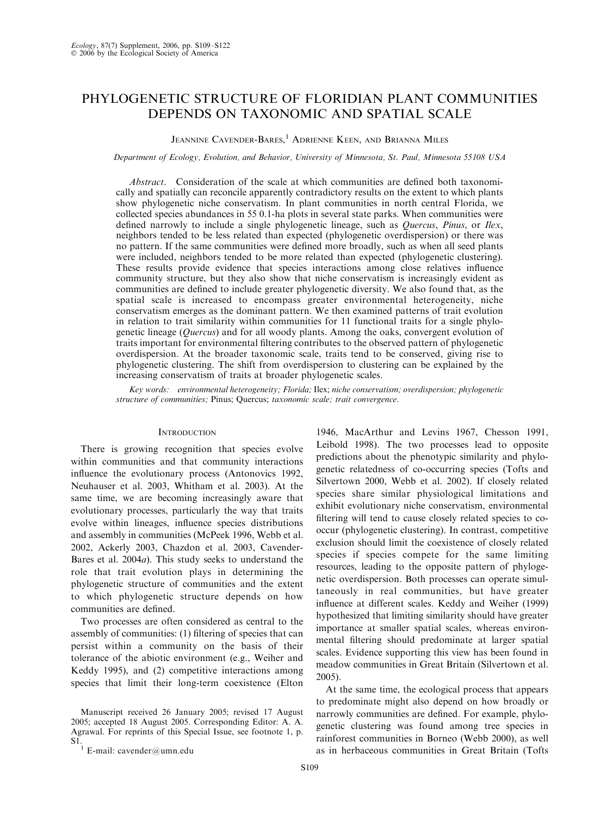# PHYLOGENETIC STRUCTURE OF FLORIDIAN PLANT COMMUNITIES DEPENDS ON TAXONOMIC AND SPATIAL SCALE

## JEANNINE CAVENDER-BARES,<sup>1</sup> ADRIENNE KEEN, AND BRIANNA MILES

#### Department of Ecology, Evolution, and Behavior, University of Minnesota, St. Paul, Minnesota 55108 USA

Abstract. Consideration of the scale at which communities are defined both taxonomically and spatially can reconcile apparently contradictory results on the extent to which plants show phylogenetic niche conservatism. In plant communities in north central Florida, we collected species abundances in 55 0.1-ha plots in several state parks. When communities were defined narrowly to include a single phylogenetic lineage, such as *Quercus*, *Pinus*, or *Ilex*, neighbors tended to be less related than expected (phylogenetic overdispersion) or there was no pattern. If the same communities were defined more broadly, such as when all seed plants were included, neighbors tended to be more related than expected (phylogenetic clustering). These results provide evidence that species interactions among close relatives influence community structure, but they also show that niche conservatism is increasingly evident as communities are defined to include greater phylogenetic diversity. We also found that, as the spatial scale is increased to encompass greater environmental heterogeneity, niche conservatism emerges as the dominant pattern. We then examined patterns of trait evolution in relation to trait similarity within communities for 11 functional traits for a single phylogenetic lineage (*Quercus*) and for all woody plants. Among the oaks, convergent evolution of traits important for environmental filtering contributes to the observed pattern of phylogenetic overdispersion. At the broader taxonomic scale, traits tend to be conserved, giving rise to phylogenetic clustering. The shift from overdispersion to clustering can be explained by the increasing conservatism of traits at broader phylogenetic scales.

Key words: environmental heterogeneity; Florida; Ilex; niche conservatism; overdispersion; phylogenetic structure of communities; Pinus; Quercus; taxonomic scale; trait convergence.

#### **INTRODUCTION**

There is growing recognition that species evolve within communities and that community interactions influence the evolutionary process (Antonovics 1992, Neuhauser et al. 2003, Whitham et al. 2003). At the same time, we are becoming increasingly aware that evolutionary processes, particularly the way that traits evolve within lineages, influence species distributions and assembly in communities (McPeek 1996, Webb et al. 2002, Ackerly 2003, Chazdon et al. 2003, Cavender-Bares et al. 2004a). This study seeks to understand the role that trait evolution plays in determining the phylogenetic structure of communities and the extent to which phylogenetic structure depends on how communities are defined.

Two processes are often considered as central to the assembly of communities: (1) filtering of species that can persist within a community on the basis of their tolerance of the abiotic environment (e.g., Weiher and Keddy 1995), and (2) competitive interactions among species that limit their long-term coexistence (Elton

Manuscript received 26 January 2005; revised 17 August 2005; accepted 18 August 2005. Corresponding Editor: A. A. Agrawal. For reprints of this Special Issue, see footnote 1, p. S1.1 E-mail: cavender@umn.edu

1946, MacArthur and Levins 1967, Chesson 1991, Leibold 1998). The two processes lead to opposite predictions about the phenotypic similarity and phylogenetic relatedness of co-occurring species (Tofts and Silvertown 2000, Webb et al. 2002). If closely related species share similar physiological limitations and exhibit evolutionary niche conservatism, environmental filtering will tend to cause closely related species to cooccur (phylogenetic clustering). In contrast, competitive exclusion should limit the coexistence of closely related species if species compete for the same limiting resources, leading to the opposite pattern of phylogenetic overdispersion. Both processes can operate simultaneously in real communities, but have greater influence at different scales. Keddy and Weiher (1999) hypothesized that limiting similarity should have greater importance at smaller spatial scales, whereas environmental filtering should predominate at larger spatial scales. Evidence supporting this view has been found in meadow communities in Great Britain (Silvertown et al. 2005).

At the same time, the ecological process that appears to predominate might also depend on how broadly or narrowly communities are defined. For example, phylogenetic clustering was found among tree species in rainforest communities in Borneo (Webb 2000), as well as in herbaceous communities in Great Britain (Tofts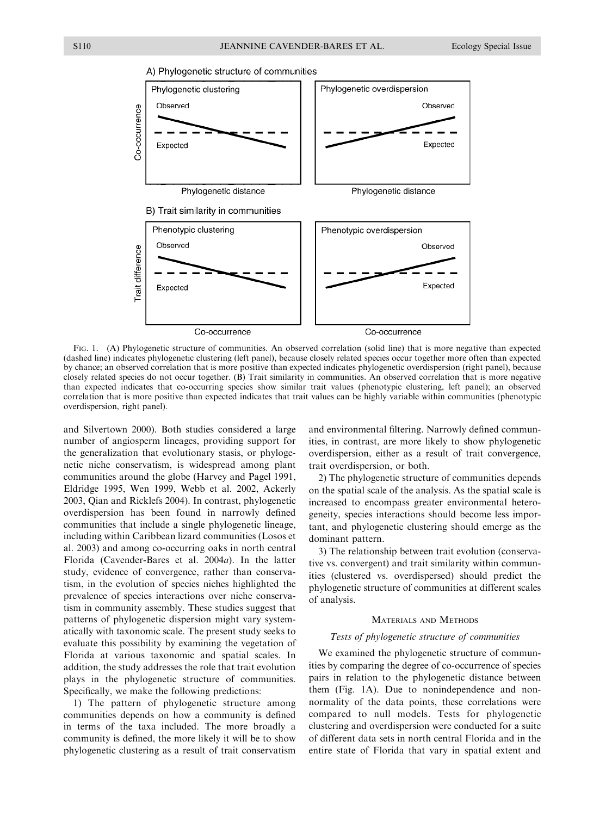

FIG. 1. (A) Phylogenetic structure of communities. An observed correlation (solid line) that is more negative than expected (dashed line) indicates phylogenetic clustering (left panel), because closely related species occur together more often than expected by chance; an observed correlation that is more positive than expected indicates phylogenetic overdispersion (right panel), because closely related species do not occur together. (B) Trait similarity in communities. An observed correlation that is more negative than expected indicates that co-occurring species show similar trait values (phenotypic clustering, left panel); an observed correlation that is more positive than expected indicates that trait values can be highly variable within communities (phenotypic overdispersion, right panel).

and Silvertown 2000). Both studies considered a large number of angiosperm lineages, providing support for the generalization that evolutionary stasis, or phylogenetic niche conservatism, is widespread among plant communities around the globe (Harvey and Pagel 1991, Eldridge 1995, Wen 1999, Webb et al. 2002, Ackerly 2003, Qian and Ricklefs 2004). In contrast, phylogenetic overdispersion has been found in narrowly defined communities that include a single phylogenetic lineage, including within Caribbean lizard communities (Losos et al. 2003) and among co-occurring oaks in north central Florida (Cavender-Bares et al. 2004a). In the latter study, evidence of convergence, rather than conservatism, in the evolution of species niches highlighted the prevalence of species interactions over niche conservatism in community assembly. These studies suggest that patterns of phylogenetic dispersion might vary systematically with taxonomic scale. The present study seeks to evaluate this possibility by examining the vegetation of Florida at various taxonomic and spatial scales. In addition, the study addresses the role that trait evolution plays in the phylogenetic structure of communities. Specifically, we make the following predictions:

1) The pattern of phylogenetic structure among communities depends on how a community is defined in terms of the taxa included. The more broadly a community is defined, the more likely it will be to show phylogenetic clustering as a result of trait conservatism and environmental filtering. Narrowly defined communities, in contrast, are more likely to show phylogenetic overdispersion, either as a result of trait convergence, trait overdispersion, or both.

2) The phylogenetic structure of communities depends on the spatial scale of the analysis. As the spatial scale is increased to encompass greater environmental heterogeneity, species interactions should become less important, and phylogenetic clustering should emerge as the dominant pattern.

3) The relationship between trait evolution (conservative vs. convergent) and trait similarity within communities (clustered vs. overdispersed) should predict the phylogenetic structure of communities at different scales of analysis.

### MATERIALS AND METHODS

## Tests of phylogenetic structure of communities

We examined the phylogenetic structure of communities by comparing the degree of co-occurrence of species pairs in relation to the phylogenetic distance between them (Fig. 1A). Due to nonindependence and nonnormality of the data points, these correlations were compared to null models. Tests for phylogenetic clustering and overdispersion were conducted for a suite of different data sets in north central Florida and in the entire state of Florida that vary in spatial extent and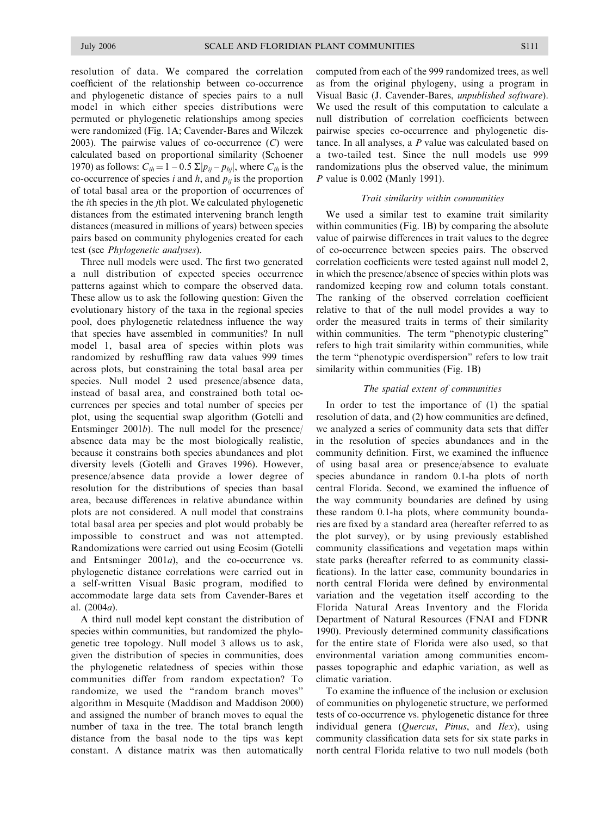resolution of data. We compared the correlation coefficient of the relationship between co-occurrence and phylogenetic distance of species pairs to a null model in which either species distributions were permuted or phylogenetic relationships among species were randomized (Fig. 1A; Cavender-Bares and Wilczek 2003). The pairwise values of co-occurrence  $(C)$  were calculated based on proportional similarity (Schoener 1970) as follows:  $C_{ih} = 1 - 0.5 \Sigma |p_{ij} - p_{hi}|$ , where  $C_{ih}$  is the co-occurrence of species i and  $h$ , and  $p_{ij}$  is the proportion of total basal area or the proportion of occurrences of the ith species in the jth plot. We calculated phylogenetic distances from the estimated intervening branch length distances (measured in millions of years) between species pairs based on community phylogenies created for each test (see Phylogenetic analyses).

Three null models were used. The first two generated a null distribution of expected species occurrence patterns against which to compare the observed data. These allow us to ask the following question: Given the evolutionary history of the taxa in the regional species pool, does phylogenetic relatedness influence the way that species have assembled in communities? In null model 1, basal area of species within plots was randomized by reshuffling raw data values 999 times across plots, but constraining the total basal area per species. Null model 2 used presence/absence data, instead of basal area, and constrained both total occurrences per species and total number of species per plot, using the sequential swap algorithm (Gotelli and Entsminger 2001b). The null model for the presence/ absence data may be the most biologically realistic, because it constrains both species abundances and plot diversity levels (Gotelli and Graves 1996). However, presence/absence data provide a lower degree of resolution for the distributions of species than basal area, because differences in relative abundance within plots are not considered. A null model that constrains total basal area per species and plot would probably be impossible to construct and was not attempted. Randomizations were carried out using Ecosim (Gotelli and Entsminger 2001a), and the co-occurrence vs. phylogenetic distance correlations were carried out in a self-written Visual Basic program, modified to accommodate large data sets from Cavender-Bares et al. (2004a).

A third null model kept constant the distribution of species within communities, but randomized the phylogenetic tree topology. Null model 3 allows us to ask, given the distribution of species in communities, does the phylogenetic relatedness of species within those communities differ from random expectation? To randomize, we used the ''random branch moves'' algorithm in Mesquite (Maddison and Maddison 2000) and assigned the number of branch moves to equal the number of taxa in the tree. The total branch length distance from the basal node to the tips was kept constant. A distance matrix was then automatically

computed from each of the 999 randomized trees, as well as from the original phylogeny, using a program in Visual Basic (J. Cavender-Bares, unpublished software). We used the result of this computation to calculate a null distribution of correlation coefficients between pairwise species co-occurrence and phylogenetic distance. In all analyses, a P value was calculated based on a two-tailed test. Since the null models use 999 randomizations plus the observed value, the minimum P value is 0.002 (Manly 1991).

#### Trait similarity within communities

We used a similar test to examine trait similarity within communities (Fig. 1B) by comparing the absolute value of pairwise differences in trait values to the degree of co-occurrence between species pairs. The observed correlation coefficients were tested against null model 2, in which the presence/absence of species within plots was randomized keeping row and column totals constant. The ranking of the observed correlation coefficient relative to that of the null model provides a way to order the measured traits in terms of their similarity within communities. The term "phenotypic clustering" refers to high trait similarity within communities, while the term ''phenotypic overdispersion'' refers to low trait similarity within communities (Fig. 1B)

### The spatial extent of communities

In order to test the importance of (1) the spatial resolution of data, and (2) how communities are defined, we analyzed a series of community data sets that differ in the resolution of species abundances and in the community definition. First, we examined the influence of using basal area or presence/absence to evaluate species abundance in random 0.1-ha plots of north central Florida. Second, we examined the influence of the way community boundaries are defined by using these random 0.1-ha plots, where community boundaries are fixed by a standard area (hereafter referred to as the plot survey), or by using previously established community classifications and vegetation maps within state parks (hereafter referred to as community classifications). In the latter case, community boundaries in north central Florida were defined by environmental variation and the vegetation itself according to the Florida Natural Areas Inventory and the Florida Department of Natural Resources (FNAI and FDNR 1990). Previously determined community classifications for the entire state of Florida were also used, so that environmental variation among communities encompasses topographic and edaphic variation, as well as climatic variation.

To examine the influence of the inclusion or exclusion of communities on phylogenetic structure, we performed tests of co-occurrence vs. phylogenetic distance for three individual genera (Quercus, Pinus, and Ilex), using community classification data sets for six state parks in north central Florida relative to two null models (both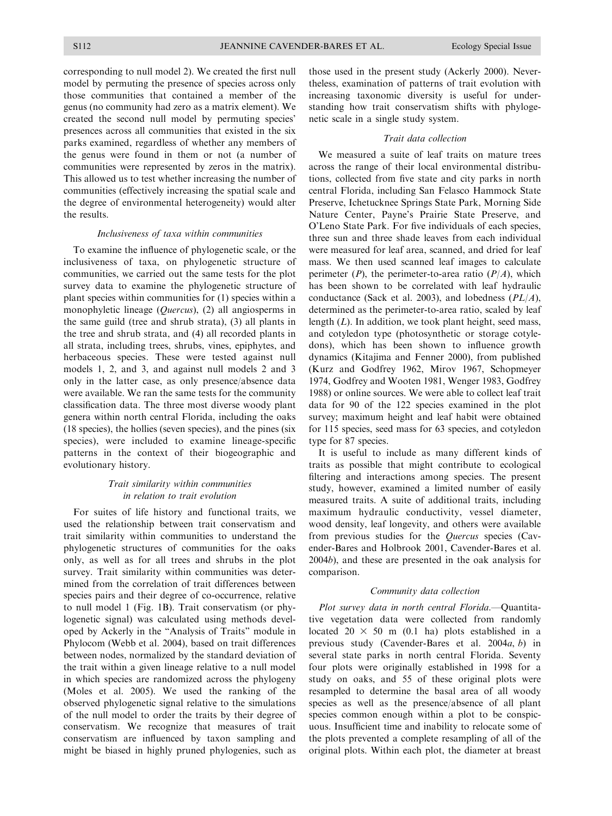corresponding to null model 2). We created the first null model by permuting the presence of species across only those communities that contained a member of the genus (no community had zero as a matrix element). We created the second null model by permuting species' presences across all communities that existed in the six parks examined, regardless of whether any members of the genus were found in them or not (a number of communities were represented by zeros in the matrix). This allowed us to test whether increasing the number of communities (effectively increasing the spatial scale and the degree of environmental heterogeneity) would alter the results.

## Inclusiveness of taxa within communities

To examine the influence of phylogenetic scale, or the inclusiveness of taxa, on phylogenetic structure of communities, we carried out the same tests for the plot survey data to examine the phylogenetic structure of plant species within communities for (1) species within a monophyletic lineage (*Quercus*), (2) all angiosperms in the same guild (tree and shrub strata), (3) all plants in the tree and shrub strata, and (4) all recorded plants in all strata, including trees, shrubs, vines, epiphytes, and herbaceous species. These were tested against null models 1, 2, and 3, and against null models 2 and 3 only in the latter case, as only presence/absence data were available. We ran the same tests for the community classification data. The three most diverse woody plant genera within north central Florida, including the oaks (18 species), the hollies (seven species), and the pines (six species), were included to examine lineage-specific patterns in the context of their biogeographic and evolutionary history.

## Trait similarity within communities in relation to trait evolution

For suites of life history and functional traits, we used the relationship between trait conservatism and trait similarity within communities to understand the phylogenetic structures of communities for the oaks only, as well as for all trees and shrubs in the plot survey. Trait similarity within communities was determined from the correlation of trait differences between species pairs and their degree of co-occurrence, relative to null model 1 (Fig. 1B). Trait conservatism (or phylogenetic signal) was calculated using methods developed by Ackerly in the ''Analysis of Traits'' module in Phylocom (Webb et al. 2004), based on trait differences between nodes, normalized by the standard deviation of the trait within a given lineage relative to a null model in which species are randomized across the phylogeny (Moles et al. 2005). We used the ranking of the observed phylogenetic signal relative to the simulations of the null model to order the traits by their degree of conservatism. We recognize that measures of trait conservatism are influenced by taxon sampling and might be biased in highly pruned phylogenies, such as

those used in the present study (Ackerly 2000). Nevertheless, examination of patterns of trait evolution with increasing taxonomic diversity is useful for understanding how trait conservatism shifts with phylogenetic scale in a single study system.

## Trait data collection

We measured a suite of leaf traits on mature trees across the range of their local environmental distributions, collected from five state and city parks in north central Florida, including San Felasco Hammock State Preserve, Ichetucknee Springs State Park, Morning Side Nature Center, Payne's Prairie State Preserve, and O'Leno State Park. For five individuals of each species, three sun and three shade leaves from each individual were measured for leaf area, scanned, and dried for leaf mass. We then used scanned leaf images to calculate perimeter  $(P)$ , the perimeter-to-area ratio  $(P/A)$ , which has been shown to be correlated with leaf hydraulic conductance (Sack et al. 2003), and lobedness  $(PL/A)$ , determined as the perimeter-to-area ratio, scaled by leaf length  $(L)$ . In addition, we took plant height, seed mass, and cotyledon type (photosynthetic or storage cotyledons), which has been shown to influence growth dynamics (Kitajima and Fenner 2000), from published (Kurz and Godfrey 1962, Mirov 1967, Schopmeyer 1974, Godfrey and Wooten 1981, Wenger 1983, Godfrey 1988) or online sources. We were able to collect leaf trait data for 90 of the 122 species examined in the plot survey; maximum height and leaf habit were obtained for 115 species, seed mass for 63 species, and cotyledon type for 87 species.

It is useful to include as many different kinds of traits as possible that might contribute to ecological filtering and interactions among species. The present study, however, examined a limited number of easily measured traits. A suite of additional traits, including maximum hydraulic conductivity, vessel diameter, wood density, leaf longevity, and others were available from previous studies for the Quercus species (Cavender-Bares and Holbrook 2001, Cavender-Bares et al. 2004b), and these are presented in the oak analysis for comparison.

#### Community data collection

Plot survey data in north central Florida.—Quantitative vegetation data were collected from randomly located  $20 \times 50$  m (0.1 ha) plots established in a previous study (Cavender-Bares et al. 2004a, b) in several state parks in north central Florida. Seventy four plots were originally established in 1998 for a study on oaks, and 55 of these original plots were resampled to determine the basal area of all woody species as well as the presence/absence of all plant species common enough within a plot to be conspicuous. Insufficient time and inability to relocate some of the plots prevented a complete resampling of all of the original plots. Within each plot, the diameter at breast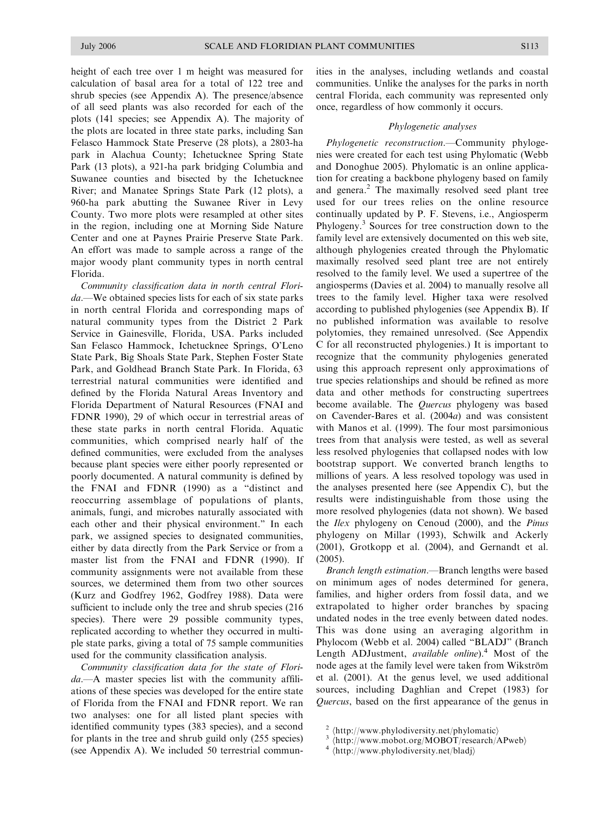height of each tree over 1 m height was measured for calculation of basal area for a total of 122 tree and shrub species (see Appendix A). The presence/absence of all seed plants was also recorded for each of the plots (141 species; see Appendix A). The majority of the plots are located in three state parks, including San Felasco Hammock State Preserve (28 plots), a 2803-ha park in Alachua County; Ichetucknee Spring State Park (13 plots), a 921-ha park bridging Columbia and Suwanee counties and bisected by the Ichetucknee River; and Manatee Springs State Park (12 plots), a 960-ha park abutting the Suwanee River in Levy County. Two more plots were resampled at other sites in the region, including one at Morning Side Nature Center and one at Paynes Prairie Preserve State Park. An effort was made to sample across a range of the major woody plant community types in north central Florida.

Community classification data in north central Florida.—We obtained species lists for each of six state parks in north central Florida and corresponding maps of natural community types from the District 2 Park Service in Gainesville, Florida, USA. Parks included San Felasco Hammock, Ichetucknee Springs, O'Leno State Park, Big Shoals State Park, Stephen Foster State Park, and Goldhead Branch State Park. In Florida, 63 terrestrial natural communities were identified and defined by the Florida Natural Areas Inventory and Florida Department of Natural Resources (FNAI and FDNR 1990), 29 of which occur in terrestrial areas of these state parks in north central Florida. Aquatic communities, which comprised nearly half of the defined communities, were excluded from the analyses because plant species were either poorly represented or poorly documented. A natural community is defined by the FNAI and FDNR (1990) as a ''distinct and reoccurring assemblage of populations of plants, animals, fungi, and microbes naturally associated with each other and their physical environment.'' In each park, we assigned species to designated communities, either by data directly from the Park Service or from a master list from the FNAI and FDNR (1990). If community assignments were not available from these sources, we determined them from two other sources (Kurz and Godfrey 1962, Godfrey 1988). Data were sufficient to include only the tree and shrub species (216) species). There were 29 possible community types, replicated according to whether they occurred in multiple state parks, giving a total of 75 sample communities used for the community classification analysis.

Community classification data for the state of Florida.—A master species list with the community affiliations of these species was developed for the entire state of Florida from the FNAI and FDNR report. We ran two analyses: one for all listed plant species with identified community types (383 species), and a second for plants in the tree and shrub guild only (255 species) (see Appendix A). We included 50 terrestrial communities in the analyses, including wetlands and coastal communities. Unlike the analyses for the parks in north central Florida, each community was represented only once, regardless of how commonly it occurs.

#### Phylogenetic analyses

Phylogenetic reconstruction.—Community phylogenies were created for each test using Phylomatic (Webb and Donoghue 2005). Phylomatic is an online application for creating a backbone phylogeny based on family and genera.<sup>2</sup> The maximally resolved seed plant tree used for our trees relies on the online resource continually updated by P. F. Stevens, i.e., Angiosperm Phylogeny.<sup>3</sup> Sources for tree construction down to the family level are extensively documented on this web site, although phylogenies created through the Phylomatic maximally resolved seed plant tree are not entirely resolved to the family level. We used a supertree of the angiosperms (Davies et al. 2004) to manually resolve all trees to the family level. Higher taxa were resolved according to published phylogenies (see Appendix B). If no published information was available to resolve polytomies, they remained unresolved. (See Appendix C for all reconstructed phylogenies.) It is important to recognize that the community phylogenies generated using this approach represent only approximations of true species relationships and should be refined as more data and other methods for constructing supertrees become available. The Quercus phylogeny was based on Cavender-Bares et al. (2004a) and was consistent with Manos et al. (1999). The four most parsimonious trees from that analysis were tested, as well as several less resolved phylogenies that collapsed nodes with low bootstrap support. We converted branch lengths to millions of years. A less resolved topology was used in the analyses presented here (see Appendix C), but the results were indistinguishable from those using the more resolved phylogenies (data not shown). We based the Ilex phylogeny on Cenoud (2000), and the Pinus phylogeny on Millar (1993), Schwilk and Ackerly (2001), Grotkopp et al. (2004), and Gernandt et al. (2005).

Branch length estimation.—Branch lengths were based on minimum ages of nodes determined for genera, families, and higher orders from fossil data, and we extrapolated to higher order branches by spacing undated nodes in the tree evenly between dated nodes. This was done using an averaging algorithm in Phylocom (Webb et al. 2004) called ''BLADJ'' (Branch Length ADJustment, *available online*).<sup>4</sup> Most of the node ages at the family level were taken from Wikström et al. (2001). At the genus level, we used additional sources, including Daghlian and Crepet (1983) for Quercus, based on the first appearance of the genus in

<sup>2</sup> (http://www.phylodiversity.net/phylomatic)<br><sup>3</sup> (http://www.mobot.org/MOBOT/research/APweb)<br><sup>4</sup> (http://www.phylodiversity.net/bladj)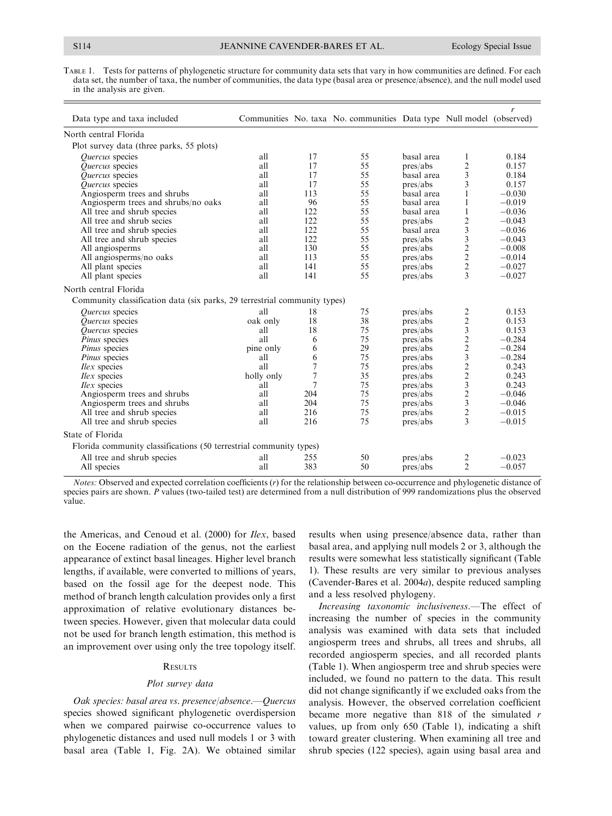| Data type and taxa included                                               |            |            | Communities No. taxa No. communities Data type Null model (observed) |            |                     | r                    |
|---------------------------------------------------------------------------|------------|------------|----------------------------------------------------------------------|------------|---------------------|----------------------|
| North central Florida                                                     |            |            |                                                                      |            |                     |                      |
| Plot survey data (three parks, 55 plots)                                  |            |            |                                                                      |            |                     |                      |
| Quercus species                                                           | all        | 17         | 55                                                                   | basal area | 1                   | 0.184                |
| Quercus species                                                           | all        | 17         | 55                                                                   | pres/abs   | $\overline{2}$      | 0.157                |
| Quercus species                                                           | all        | 17         | 55                                                                   | basal area | 3                   | 0.184                |
| Quercus species                                                           | all        | 17         | 55                                                                   | pres/abs   | 3                   | 0.157                |
| Angiosperm trees and shrubs                                               | all        | 113        | 55                                                                   | basal area | 1                   | $-0.030$             |
| Angiosperm trees and shrubs/no oaks                                       | all        | 96         | 55                                                                   | basal area | 1                   | $-0.019$             |
| All tree and shrub species                                                | all        | 122        | 55                                                                   | basal area | $\mathbf{1}$        | $-0.036$             |
| All tree and shrub secies                                                 | all        | 122        | 55                                                                   | pres/abs   | $\overline{2}$      | $-0.043$             |
| All tree and shrub species                                                | all        | 122        | 55                                                                   | basal area | 3                   | $-0.036$             |
| All tree and shrub species                                                | all        | 122        | 55                                                                   | pres/abs   | 3                   | $-0.043$             |
| All angiosperms                                                           | all        | 130        | 55                                                                   | pres/abs   | $\overline{c}$      | $-0.008$             |
| All angiosperms/no oaks                                                   | all        | 113        | 55                                                                   | pres/abs   | $\sqrt{2}$          | $-0.014$             |
| All plant species                                                         | all        | 141        | 55                                                                   | pres/abs   | $\overline{c}$      | $-0.027$             |
| All plant species                                                         | all        | 141        | 55                                                                   | pres/abs   | 3                   | $-0.027$             |
|                                                                           |            |            |                                                                      |            |                     |                      |
| North central Florida                                                     |            |            |                                                                      |            |                     |                      |
| Community classification data (six parks, 29 terrestrial community types) |            |            |                                                                      |            |                     |                      |
| Quercus species                                                           | all        | 18         | 75                                                                   | pres/abs   | 2                   | 0.153                |
| Quercus species                                                           | oak only   | 18         | 38                                                                   | pres/abs   | $\overline{c}$      | 0.153                |
| Quercus species                                                           | all        | 18         | 75                                                                   | pres/abs   | 3                   | 0.153                |
| Pinus species                                                             | all        | 6          | 75                                                                   | pres/abs   | $\overline{c}$      | $-0.284$             |
| Pinus species                                                             | pine only  | 6          | 29                                                                   | pres/abs   | $\overline{c}$      | $-0.284$             |
| Pinus species                                                             | all        | 6          | 75                                                                   | pres/abs   | 3                   | $-0.284$             |
| <i>Hex</i> species                                                        | all        | 7          | 75                                                                   | pres/abs   | $\overline{c}$      | 0.243                |
| <i>Hex</i> species                                                        | holly only | 7          | 35                                                                   | pres/abs   | $\overline{c}$      | 0.243                |
| <i>Hex</i> species                                                        | all        | 7          | 75                                                                   | pres/abs   | 3                   | 0.243                |
| Angiosperm trees and shrubs                                               | all        | 204        | 75                                                                   | pres/abs   | $\sqrt{2}$          | $-0.046$             |
| Angiosperm trees and shrubs                                               | all        | 204        | 75                                                                   | pres/abs   | 3                   | $-0.046$             |
| All tree and shrub species                                                | all        | 216        | 75                                                                   | pres/abs   | $\mathfrak{2}$      | $-0.015$             |
| All tree and shrub species                                                | all        | 216        | 75                                                                   | pres/abs   | 3                   | $-0.015$             |
| State of Florida                                                          |            |            |                                                                      |            |                     |                      |
| Florida community classifications (50 terrestrial community types)        |            |            |                                                                      |            |                     |                      |
|                                                                           |            |            |                                                                      |            |                     |                      |
| All tree and shrub species                                                | all<br>all | 255<br>383 | 50<br>50                                                             | pres/abs   | 2<br>$\overline{2}$ | $-0.023$<br>$-0.057$ |
| All species                                                               |            |            |                                                                      | pres/abs   |                     |                      |

TABLE 1. Tests for patterns of phylogenetic structure for community data sets that vary in how communities are defined. For each data set, the number of taxa, the number of communities, the data type (basal area or presence/absence), and the null model used in the analysis are given.

Notes: Observed and expected correlation coefficients (r) for the relationship between co-occurrence and phylogenetic distance of species pairs are shown. P values (two-tailed test) are determined from a null distribution of 999 randomizations plus the observed value.

the Americas, and Cenoud et al. (2000) for Ilex, based on the Eocene radiation of the genus, not the earliest appearance of extinct basal lineages. Higher level branch lengths, if available, were converted to millions of years, based on the fossil age for the deepest node. This method of branch length calculation provides only a first approximation of relative evolutionary distances between species. However, given that molecular data could not be used for branch length estimation, this method is an improvement over using only the tree topology itself.

### **RESULTS**

#### Plot survey data

Oak species: basal area vs. presence/absence.—Quercus species showed significant phylogenetic overdispersion when we compared pairwise co-occurrence values to phylogenetic distances and used null models 1 or 3 with basal area (Table 1, Fig. 2A). We obtained similar results when using presence/absence data, rather than basal area, and applying null models 2 or 3, although the results were somewhat less statistically significant (Table 1). These results are very similar to previous analyses (Cavender-Bares et al. 2004a), despite reduced sampling and a less resolved phylogeny.

Increasing taxonomic inclusiveness.—The effect of increasing the number of species in the community analysis was examined with data sets that included angiosperm trees and shrubs, all trees and shrubs, all recorded angiosperm species, and all recorded plants (Table 1). When angiosperm tree and shrub species were included, we found no pattern to the data. This result did not change significantly if we excluded oaks from the analysis. However, the observed correlation coefficient became more negative than 818 of the simulated r values, up from only 650 (Table 1), indicating a shift toward greater clustering. When examining all tree and shrub species (122 species), again using basal area and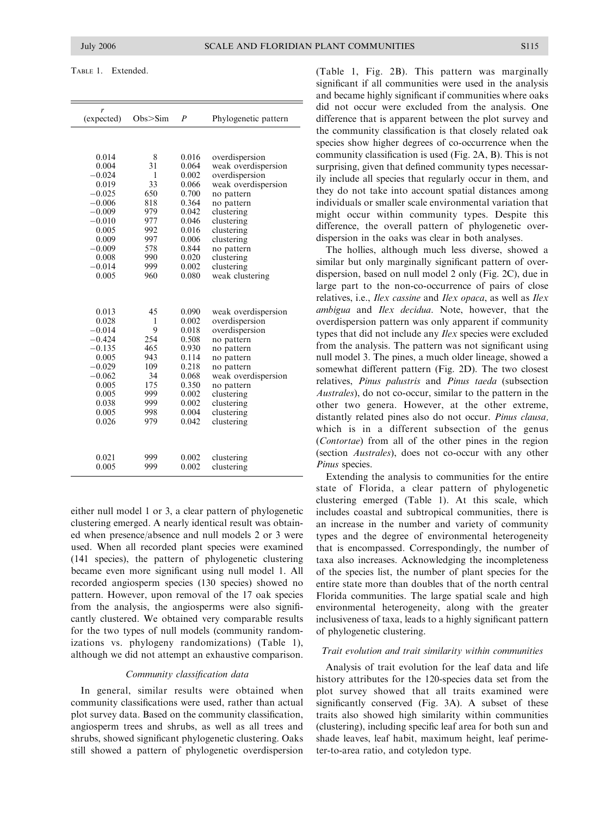TABLE 1. Extended.

| r<br>(expected) | Obs>Sim | $\boldsymbol{P}$ | Phylogenetic pattern     |
|-----------------|---------|------------------|--------------------------|
|                 |         |                  |                          |
|                 |         |                  |                          |
|                 |         |                  |                          |
| 0.014           | 8       | 0.016            | overdispersion           |
| 0.004           | 31      | 0.064            | weak overdispersion      |
| $-0.024$        | 1       | 0.002            | overdispersion           |
| 0.019           | 33      | 0.066            | weak overdispersion      |
| $-0.025$        | 650     | 0.700            | no pattern               |
| $-0.006$        | 818     | 0.364            | no pattern               |
| $-0.009$        | 979     | 0.042            | clustering               |
| $-0.010$        | 977     | 0.046            | clustering               |
| 0.005           | 992     | 0.016            | clustering               |
| 0.009           | 997     | 0.006            | clustering               |
| $-0.009$        | 578     | 0.844            | no pattern               |
| 0.008           | 990     | 0.020            | clustering               |
| $-0.014$        | 999     | 0.002            | clustering               |
| 0.005           | 960     | 0.080            | weak clustering          |
|                 |         |                  |                          |
|                 |         |                  |                          |
|                 |         |                  |                          |
| 0.013           | 45      | 0.090            | weak overdispersion      |
| 0.028           | 1       | 0.002            | overdispersion           |
| $-0.014$        | 9       | 0.018            | overdispersion           |
| $-0.424$        | 254     | 0.508            | no pattern               |
| $-0.135$        | 465     | 0.930            | no pattern               |
| 0.005           | 943     | 0.114            | no pattern               |
| $-0.029$        | 109     | 0.218            | no pattern               |
| $-0.062$        | 34      | 0.068            | weak overdispersion      |
| 0.005           | 175     | 0.350            | no pattern               |
| 0.005           | 999     | 0.002            | clustering               |
| 0.038           | 999     | 0.002            | clustering               |
| 0.005           | 998     | 0.004            | clustering               |
| 0.026           | 979     | 0.042            | clustering               |
|                 |         |                  |                          |
|                 |         |                  |                          |
| 0.021           | 999     | 0.002            |                          |
| 0.005           | 999     | 0.002            | clustering<br>clustering |
|                 |         |                  |                          |

either null model 1 or 3, a clear pattern of phylogenetic clustering emerged. A nearly identical result was obtained when presence/absence and null models 2 or 3 were used. When all recorded plant species were examined (141 species), the pattern of phylogenetic clustering became even more significant using null model 1. All recorded angiosperm species (130 species) showed no pattern. However, upon removal of the 17 oak species from the analysis, the angiosperms were also significantly clustered. We obtained very comparable results for the two types of null models (community randomizations vs. phylogeny randomizations) (Table 1), although we did not attempt an exhaustive comparison.

#### Community classification data

In general, similar results were obtained when community classifications were used, rather than actual plot survey data. Based on the community classification, angiosperm trees and shrubs, as well as all trees and shrubs, showed significant phylogenetic clustering. Oaks still showed a pattern of phylogenetic overdispersion (Table 1, Fig. 2B). This pattern was marginally significant if all communities were used in the analysis and became highly significant if communities where oaks did not occur were excluded from the analysis. One difference that is apparent between the plot survey and the community classification is that closely related oak species show higher degrees of co-occurrence when the community classification is used (Fig. 2A, B). This is not surprising, given that defined community types necessarily include all species that regularly occur in them, and they do not take into account spatial distances among individuals or smaller scale environmental variation that might occur within community types. Despite this difference, the overall pattern of phylogenetic overdispersion in the oaks was clear in both analyses.

The hollies, although much less diverse, showed a similar but only marginally significant pattern of overdispersion, based on null model 2 only (Fig. 2C), due in large part to the non-co-occurrence of pairs of close relatives, i.e., Ilex cassine and Ilex opaca, as well as Ilex ambigua and Ilex decidua. Note, however, that the overdispersion pattern was only apparent if community types that did not include any Ilex species were excluded from the analysis. The pattern was not significant using null model 3. The pines, a much older lineage, showed a somewhat different pattern (Fig. 2D). The two closest relatives, Pinus palustris and Pinus taeda (subsection Australes), do not co-occur, similar to the pattern in the other two genera. However, at the other extreme, distantly related pines also do not occur. Pinus clausa, which is in a different subsection of the genus (Contortae) from all of the other pines in the region (section Australes), does not co-occur with any other Pinus species.

Extending the analysis to communities for the entire state of Florida, a clear pattern of phylogenetic clustering emerged (Table 1). At this scale, which includes coastal and subtropical communities, there is an increase in the number and variety of community types and the degree of environmental heterogeneity that is encompassed. Correspondingly, the number of taxa also increases. Acknowledging the incompleteness of the species list, the number of plant species for the entire state more than doubles that of the north central Florida communities. The large spatial scale and high environmental heterogeneity, along with the greater inclusiveness of taxa, leads to a highly significant pattern of phylogenetic clustering.

## Trait evolution and trait similarity within communities

Analysis of trait evolution for the leaf data and life history attributes for the 120-species data set from the plot survey showed that all traits examined were significantly conserved (Fig. 3A). A subset of these traits also showed high similarity within communities (clustering), including specific leaf area for both sun and shade leaves, leaf habit, maximum height, leaf perimeter-to-area ratio, and cotyledon type.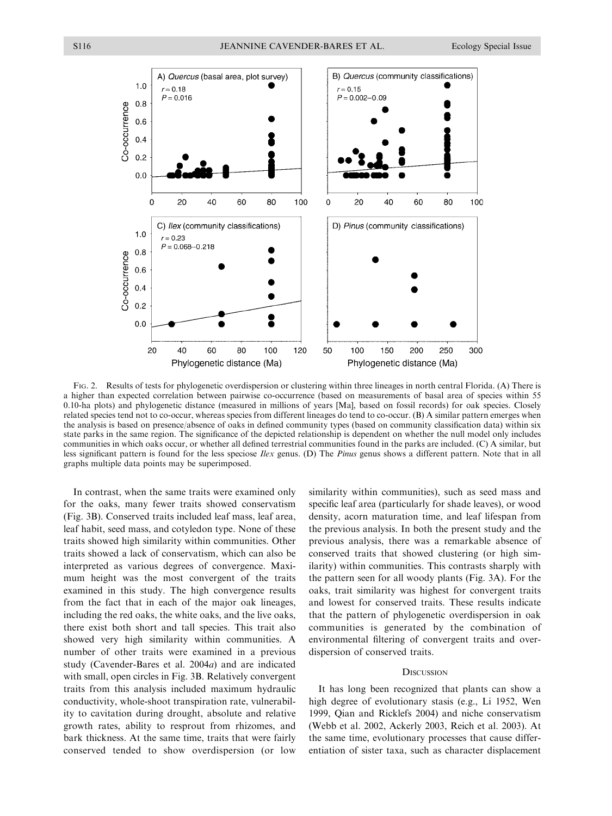

FIG. 2. Results of tests for phylogenetic overdispersion or clustering within three lineages in north central Florida. (A) There is a higher than expected correlation between pairwise co-occurrence (based on measurements of basal area of species within 55 0.10-ha plots) and phylogenetic distance (measured in millions of years [Ma], based on fossil records) for oak species. Closely related species tend not to co-occur, whereas species from different lineages do tend to co-occur. (B) A similar pattern emerges when the analysis is based on presence/absence of oaks in defined community types (based on community classification data) within six state parks in the same region. The significance of the depicted relationship is dependent on whether the null model only includes communities in which oaks occur, or whether all defined terrestrial communities found in the parks are included. (C) A similar, but less significant pattern is found for the less speciose Ilex genus. (D) The Pinus genus shows a different pattern. Note that in all graphs multiple data points may be superimposed.

In contrast, when the same traits were examined only for the oaks, many fewer traits showed conservatism (Fig. 3B). Conserved traits included leaf mass, leaf area, leaf habit, seed mass, and cotyledon type. None of these traits showed high similarity within communities. Other traits showed a lack of conservatism, which can also be interpreted as various degrees of convergence. Maximum height was the most convergent of the traits examined in this study. The high convergence results from the fact that in each of the major oak lineages, including the red oaks, the white oaks, and the live oaks, there exist both short and tall species. This trait also showed very high similarity within communities. A number of other traits were examined in a previous study (Cavender-Bares et al. 2004a) and are indicated with small, open circles in Fig. 3B. Relatively convergent traits from this analysis included maximum hydraulic conductivity, whole-shoot transpiration rate, vulnerability to cavitation during drought, absolute and relative growth rates, ability to resprout from rhizomes, and bark thickness. At the same time, traits that were fairly conserved tended to show overdispersion (or low

similarity within communities), such as seed mass and specific leaf area (particularly for shade leaves), or wood density, acorn maturation time, and leaf lifespan from the previous analysis. In both the present study and the previous analysis, there was a remarkable absence of conserved traits that showed clustering (or high similarity) within communities. This contrasts sharply with the pattern seen for all woody plants (Fig. 3A). For the oaks, trait similarity was highest for convergent traits and lowest for conserved traits. These results indicate that the pattern of phylogenetic overdispersion in oak communities is generated by the combination of environmental filtering of convergent traits and overdispersion of conserved traits.

## **DISCUSSION**

It has long been recognized that plants can show a high degree of evolutionary stasis (e.g., Li 1952, Wen 1999, Qian and Ricklefs 2004) and niche conservatism (Webb et al. 2002, Ackerly 2003, Reich et al. 2003). At the same time, evolutionary processes that cause differentiation of sister taxa, such as character displacement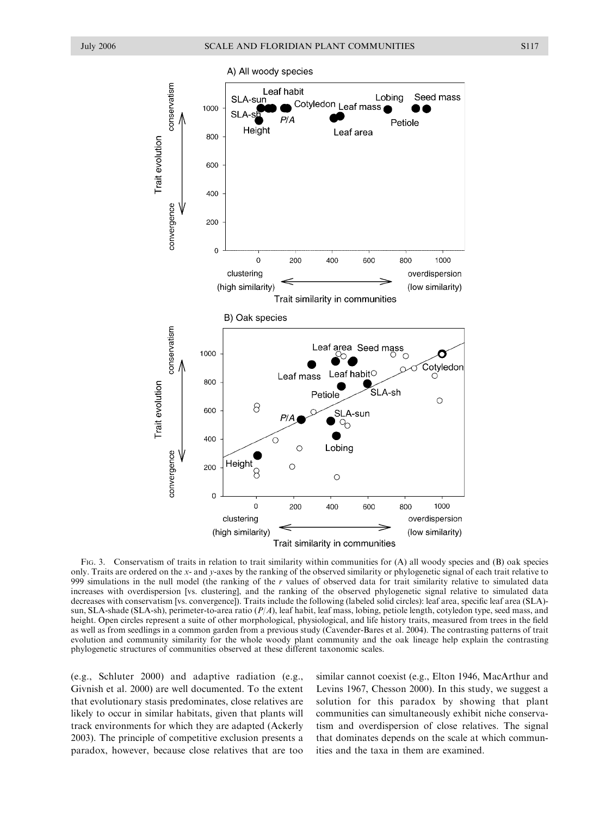

FIG. 3. Conservatism of traits in relation to trait similarity within communities for (A) all woody species and (B) oak species only. Traits are ordered on the x- and y-axes by the ranking of the observed similarity or phylogenetic signal of each trait relative to 999 simulations in the null model (the ranking of the  $r$  values of observed data for trait similarity relative to simulated data increases with overdispersion [vs. clustering], and the ranking of the observed phylogenetic signal relative to simulated data decreases with conservatism [vs. convergence]). Traits include the following (labeled solid circles): leaf area, specific leaf area (SLA) sun, SLA-shade (SLA-sh), perimeter-to-area ratio  $(P/A)$ , leaf habit, leaf mass, lobing, petiole length, cotyledon type, seed mass, and height. Open circles represent a suite of other morphological, physiological, and life history traits, measured from trees in the field as well as from seedlings in a common garden from a previous study (Cavender-Bares et al. 2004). The contrasting patterns of trait evolution and community similarity for the whole woody plant community and the oak lineage help explain the contrasting phylogenetic structures of communities observed at these different taxonomic scales.

(e.g., Schluter 2000) and adaptive radiation (e.g., Givnish et al. 2000) are well documented. To the extent that evolutionary stasis predominates, close relatives are likely to occur in similar habitats, given that plants will track environments for which they are adapted (Ackerly 2003). The principle of competitive exclusion presents a paradox, however, because close relatives that are too

similar cannot coexist (e.g., Elton 1946, MacArthur and Levins 1967, Chesson 2000). In this study, we suggest a solution for this paradox by showing that plant communities can simultaneously exhibit niche conservatism and overdispersion of close relatives. The signal that dominates depends on the scale at which communities and the taxa in them are examined.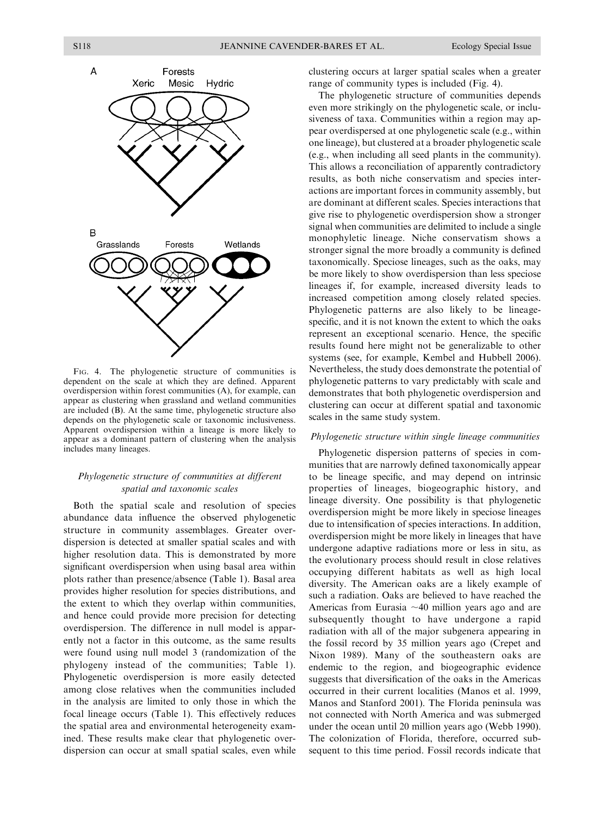

FIG. 4. The phylogenetic structure of communities is dependent on the scale at which they are defined. Apparent overdispersion within forest communities (A), for example, can appear as clustering when grassland and wetland communities are included (B). At the same time, phylogenetic structure also depends on the phylogenetic scale or taxonomic inclusiveness. Apparent overdispersion within a lineage is more likely to appear as a dominant pattern of clustering when the analysis includes many lineages.

## Phylogenetic structure of communities at different spatial and taxonomic scales

Both the spatial scale and resolution of species abundance data influence the observed phylogenetic structure in community assemblages. Greater overdispersion is detected at smaller spatial scales and with higher resolution data. This is demonstrated by more significant overdispersion when using basal area within plots rather than presence/absence (Table 1). Basal area provides higher resolution for species distributions, and the extent to which they overlap within communities, and hence could provide more precision for detecting overdispersion. The difference in null model is apparently not a factor in this outcome, as the same results were found using null model 3 (randomization of the phylogeny instead of the communities; Table 1). Phylogenetic overdispersion is more easily detected among close relatives when the communities included in the analysis are limited to only those in which the focal lineage occurs (Table 1). This effectively reduces the spatial area and environmental heterogeneity examined. These results make clear that phylogenetic overdispersion can occur at small spatial scales, even while

clustering occurs at larger spatial scales when a greater range of community types is included (Fig. 4).

The phylogenetic structure of communities depends even more strikingly on the phylogenetic scale, or inclusiveness of taxa. Communities within a region may appear overdispersed at one phylogenetic scale (e.g., within one lineage), but clustered at a broader phylogenetic scale (e.g., when including all seed plants in the community). This allows a reconciliation of apparently contradictory results, as both niche conservatism and species interactions are important forces in community assembly, but are dominant at different scales. Species interactions that give rise to phylogenetic overdispersion show a stronger signal when communities are delimited to include a single monophyletic lineage. Niche conservatism shows a stronger signal the more broadly a community is defined taxonomically. Speciose lineages, such as the oaks, may be more likely to show overdispersion than less speciose lineages if, for example, increased diversity leads to increased competition among closely related species. Phylogenetic patterns are also likely to be lineagespecific, and it is not known the extent to which the oaks represent an exceptional scenario. Hence, the specific results found here might not be generalizable to other systems (see, for example, Kembel and Hubbell 2006). Nevertheless, the study does demonstrate the potential of phylogenetic patterns to vary predictably with scale and demonstrates that both phylogenetic overdispersion and clustering can occur at different spatial and taxonomic scales in the same study system.

### Phylogenetic structure within single lineage communities

Phylogenetic dispersion patterns of species in communities that are narrowly defined taxonomically appear to be lineage specific, and may depend on intrinsic properties of lineages, biogeographic history, and lineage diversity. One possibility is that phylogenetic overdispersion might be more likely in speciose lineages due to intensification of species interactions. In addition, overdispersion might be more likely in lineages that have undergone adaptive radiations more or less in situ, as the evolutionary process should result in close relatives occupying different habitats as well as high local diversity. The American oaks are a likely example of such a radiation. Oaks are believed to have reached the Americas from Eurasia  $\sim$ 40 million years ago and are subsequently thought to have undergone a rapid radiation with all of the major subgenera appearing in the fossil record by 35 million years ago (Crepet and Nixon 1989). Many of the southeastern oaks are endemic to the region, and biogeographic evidence suggests that diversification of the oaks in the Americas occurred in their current localities (Manos et al. 1999, Manos and Stanford 2001). The Florida peninsula was not connected with North America and was submerged under the ocean until 20 million years ago (Webb 1990). The colonization of Florida, therefore, occurred subsequent to this time period. Fossil records indicate that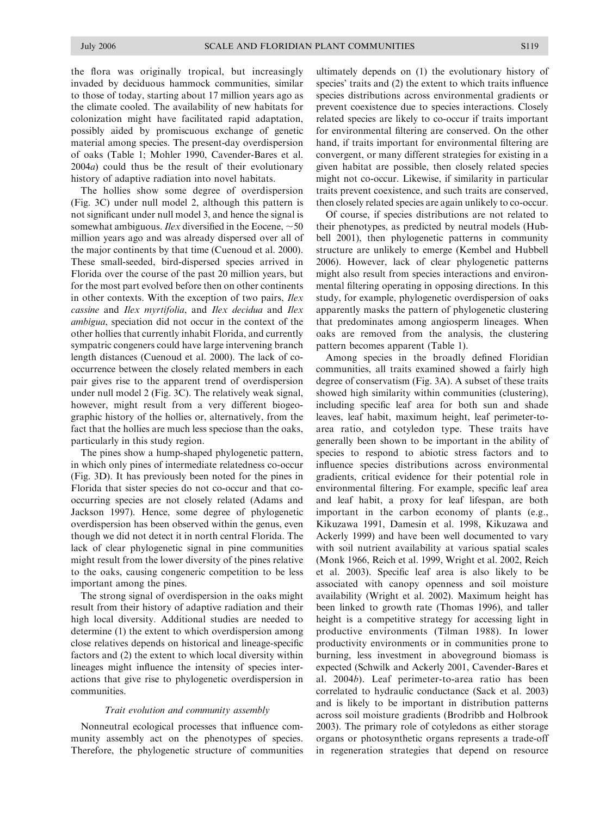the flora was originally tropical, but increasingly invaded by deciduous hammock communities, similar to those of today, starting about 17 million years ago as the climate cooled. The availability of new habitats for colonization might have facilitated rapid adaptation, possibly aided by promiscuous exchange of genetic material among species. The present-day overdispersion of oaks (Table 1; Mohler 1990, Cavender-Bares et al. 2004a) could thus be the result of their evolutionary history of adaptive radiation into novel habitats.

The hollies show some degree of overdispersion (Fig. 3C) under null model 2, although this pattern is not significant under null model 3, and hence the signal is somewhat ambiguous. *Ilex* diversified in the Eocene,  $\sim$  50 million years ago and was already dispersed over all of the major continents by that time (Cuenoud et al. 2000). These small-seeded, bird-dispersed species arrived in Florida over the course of the past 20 million years, but for the most part evolved before then on other continents in other contexts. With the exception of two pairs, Ilex cassine and Ilex myrtifolia, and Ilex decidua and Ilex ambigua, speciation did not occur in the context of the other hollies that currently inhabit Florida, and currently sympatric congeners could have large intervening branch length distances (Cuenoud et al. 2000). The lack of cooccurrence between the closely related members in each pair gives rise to the apparent trend of overdispersion under null model 2 (Fig. 3C). The relatively weak signal, however, might result from a very different biogeographic history of the hollies or, alternatively, from the fact that the hollies are much less speciose than the oaks, particularly in this study region.

The pines show a hump-shaped phylogenetic pattern, in which only pines of intermediate relatedness co-occur (Fig. 3D). It has previously been noted for the pines in Florida that sister species do not co-occur and that cooccurring species are not closely related (Adams and Jackson 1997). Hence, some degree of phylogenetic overdispersion has been observed within the genus, even though we did not detect it in north central Florida. The lack of clear phylogenetic signal in pine communities might result from the lower diversity of the pines relative to the oaks, causing congeneric competition to be less important among the pines.

The strong signal of overdispersion in the oaks might result from their history of adaptive radiation and their high local diversity. Additional studies are needed to determine (1) the extent to which overdispersion among close relatives depends on historical and lineage-specific factors and (2) the extent to which local diversity within lineages might influence the intensity of species interactions that give rise to phylogenetic overdispersion in communities.

#### Trait evolution and community assembly

Nonneutral ecological processes that influence community assembly act on the phenotypes of species. Therefore, the phylogenetic structure of communities ultimately depends on (1) the evolutionary history of species' traits and (2) the extent to which traits influence species distributions across environmental gradients or prevent coexistence due to species interactions. Closely related species are likely to co-occur if traits important for environmental filtering are conserved. On the other hand, if traits important for environmental filtering are convergent, or many different strategies for existing in a given habitat are possible, then closely related species might not co-occur. Likewise, if similarity in particular traits prevent coexistence, and such traits are conserved, then closely related species are again unlikely to co-occur.

Of course, if species distributions are not related to their phenotypes, as predicted by neutral models (Hubbell 2001), then phylogenetic patterns in community structure are unlikely to emerge (Kembel and Hubbell 2006). However, lack of clear phylogenetic patterns might also result from species interactions and environmental filtering operating in opposing directions. In this study, for example, phylogenetic overdispersion of oaks apparently masks the pattern of phylogenetic clustering that predominates among angiosperm lineages. When oaks are removed from the analysis, the clustering pattern becomes apparent (Table 1).

Among species in the broadly defined Floridian communities, all traits examined showed a fairly high degree of conservatism (Fig. 3A). A subset of these traits showed high similarity within communities (clustering), including specific leaf area for both sun and shade leaves, leaf habit, maximum height, leaf perimeter-toarea ratio, and cotyledon type. These traits have generally been shown to be important in the ability of species to respond to abiotic stress factors and to influence species distributions across environmental gradients, critical evidence for their potential role in environmental filtering. For example, specific leaf area and leaf habit, a proxy for leaf lifespan, are both important in the carbon economy of plants (e.g., Kikuzawa 1991, Damesin et al. 1998, Kikuzawa and Ackerly 1999) and have been well documented to vary with soil nutrient availability at various spatial scales (Monk 1966, Reich et al. 1999, Wright et al. 2002, Reich et al. 2003). Specific leaf area is also likely to be associated with canopy openness and soil moisture availability (Wright et al. 2002). Maximum height has been linked to growth rate (Thomas 1996), and taller height is a competitive strategy for accessing light in productive environments (Tilman 1988). In lower productivity environments or in communities prone to burning, less investment in aboveground biomass is expected (Schwilk and Ackerly 2001, Cavender-Bares et al. 2004b). Leaf perimeter-to-area ratio has been correlated to hydraulic conductance (Sack et al. 2003) and is likely to be important in distribution patterns across soil moisture gradients (Brodribb and Holbrook 2003). The primary role of cotyledons as either storage organs or photosynthetic organs represents a trade-off in regeneration strategies that depend on resource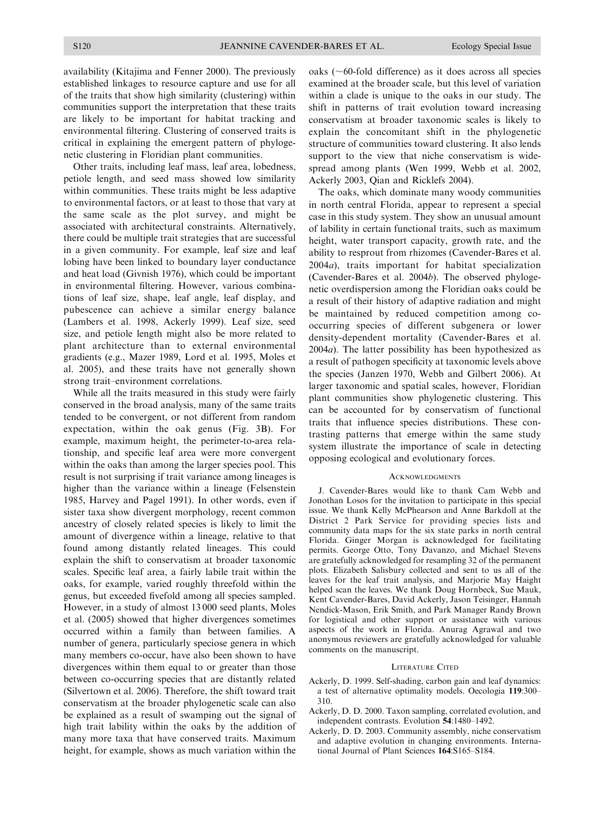availability (Kitajima and Fenner 2000). The previously established linkages to resource capture and use for all of the traits that show high similarity (clustering) within communities support the interpretation that these traits are likely to be important for habitat tracking and environmental filtering. Clustering of conserved traits is critical in explaining the emergent pattern of phylogenetic clustering in Floridian plant communities.

Other traits, including leaf mass, leaf area, lobedness, petiole length, and seed mass showed low similarity within communities. These traits might be less adaptive to environmental factors, or at least to those that vary at the same scale as the plot survey, and might be associated with architectural constraints. Alternatively, there could be multiple trait strategies that are successful in a given community. For example, leaf size and leaf lobing have been linked to boundary layer conductance and heat load (Givnish 1976), which could be important in environmental filtering. However, various combinations of leaf size, shape, leaf angle, leaf display, and pubescence can achieve a similar energy balance (Lambers et al. 1998, Ackerly 1999). Leaf size, seed size, and petiole length might also be more related to plant architecture than to external environmental gradients (e.g., Mazer 1989, Lord et al. 1995, Moles et al. 2005), and these traits have not generally shown strong trait–environment correlations.

While all the traits measured in this study were fairly conserved in the broad analysis, many of the same traits tended to be convergent, or not different from random expectation, within the oak genus (Fig. 3B). For example, maximum height, the perimeter-to-area relationship, and specific leaf area were more convergent within the oaks than among the larger species pool. This result is not surprising if trait variance among lineages is higher than the variance within a lineage (Felsenstein 1985, Harvey and Pagel 1991). In other words, even if sister taxa show divergent morphology, recent common ancestry of closely related species is likely to limit the amount of divergence within a lineage, relative to that found among distantly related lineages. This could explain the shift to conservatism at broader taxonomic scales. Specific leaf area, a fairly labile trait within the oaks, for example, varied roughly threefold within the genus, but exceeded fivefold among all species sampled. However, in a study of almost 13 000 seed plants, Moles et al. (2005) showed that higher divergences sometimes occurred within a family than between families. A number of genera, particularly speciose genera in which many members co-occur, have also been shown to have divergences within them equal to or greater than those between co-occurring species that are distantly related (Silvertown et al. 2006). Therefore, the shift toward trait conservatism at the broader phylogenetic scale can also be explained as a result of swamping out the signal of high trait lability within the oaks by the addition of many more taxa that have conserved traits. Maximum height, for example, shows as much variation within the

oaks ( $\sim$ 60-fold difference) as it does across all species examined at the broader scale, but this level of variation within a clade is unique to the oaks in our study. The shift in patterns of trait evolution toward increasing conservatism at broader taxonomic scales is likely to explain the concomitant shift in the phylogenetic structure of communities toward clustering. It also lends support to the view that niche conservatism is widespread among plants (Wen 1999, Webb et al. 2002, Ackerly 2003, Qian and Ricklefs 2004).

The oaks, which dominate many woody communities in north central Florida, appear to represent a special case in this study system. They show an unusual amount of lability in certain functional traits, such as maximum height, water transport capacity, growth rate, and the ability to resprout from rhizomes (Cavender-Bares et al. 2004a), traits important for habitat specialization (Cavender-Bares et al. 2004b). The observed phylogenetic overdispersion among the Floridian oaks could be a result of their history of adaptive radiation and might be maintained by reduced competition among cooccurring species of different subgenera or lower density-dependent mortality (Cavender-Bares et al. 2004a). The latter possibility has been hypothesized as a result of pathogen specificity at taxonomic levels above the species (Janzen 1970, Webb and Gilbert 2006). At larger taxonomic and spatial scales, however, Floridian plant communities show phylogenetic clustering. This can be accounted for by conservatism of functional traits that influence species distributions. These contrasting patterns that emerge within the same study system illustrate the importance of scale in detecting opposing ecological and evolutionary forces.

## **ACKNOWLEDGMENTS**

J. Cavender-Bares would like to thank Cam Webb and Jonothan Losos for the invitation to participate in this special issue. We thank Kelly McPhearson and Anne Barkdoll at the District 2 Park Service for providing species lists and community data maps for the six state parks in north central Florida. Ginger Morgan is acknowledged for facilitating permits. George Otto, Tony Davanzo, and Michael Stevens are gratefully acknowledged for resampling 32 of the permanent plots. Elizabeth Salisbury collected and sent to us all of the leaves for the leaf trait analysis, and Marjorie May Haight helped scan the leaves. We thank Doug Hornbeck, Sue Mauk, Kent Cavender-Bares, David Ackerly, Jason Teisinger, Hannah Nendick-Mason, Erik Smith, and Park Manager Randy Brown for logistical and other support or assistance with various aspects of the work in Florida. Anurag Agrawal and two anonymous reviewers are gratefully acknowledged for valuable comments on the manuscript.

#### LITERATURE CITED

- Ackerly, D. 1999. Self-shading, carbon gain and leaf dynamics: a test of alternative optimality models. Oecologia 119:300– 310.
- Ackerly, D. D. 2000. Taxon sampling, correlated evolution, and independent contrasts. Evolution 54:1480–1492.
- Ackerly, D. D. 2003. Community assembly, niche conservatism and adaptive evolution in changing environments. International Journal of Plant Sciences 164:S165–S184.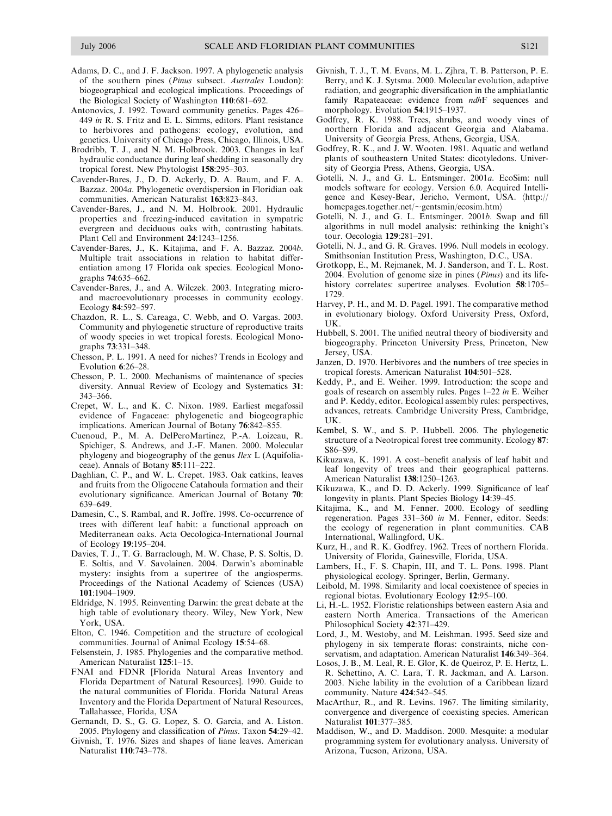- Adams, D. C., and J. F. Jackson. 1997. A phylogenetic analysis of the southern pines (Pinus subsect. Australes Loudon): biogeographical and ecological implications. Proceedings of the Biological Society of Washington 110:681–692.
- Antonovics, J. 1992. Toward community genetics. Pages 426– 449 in R. S. Fritz and E. L. Simms, editors. Plant resistance to herbivores and pathogens: ecology, evolution, and genetics. University of Chicago Press, Chicago, Illinois, USA.
- Brodribb, T. J., and N. M. Holbrook. 2003. Changes in leaf hydraulic conductance during leaf shedding in seasonally dry tropical forest. New Phytologist 158:295–303.
- Cavender-Bares, J., D. D. Ackerly, D. A. Baum, and F. A. Bazzaz. 2004a. Phylogenetic overdispersion in Floridian oak communities. American Naturalist 163:823–843.
- Cavender-Bares, J., and N. M. Holbrook. 2001. Hydraulic properties and freezing-induced cavitation in sympatric evergreen and deciduous oaks with, contrasting habitats. Plant Cell and Environment 24:1243–1256.
- Cavender-Bares, J., K. Kitajima, and F. A. Bazzaz. 2004b. Multiple trait associations in relation to habitat differentiation among 17 Florida oak species. Ecological Monographs 74:635–662.
- Cavender-Bares, J., and A. Wilczek. 2003. Integrating microand macroevolutionary processes in community ecology. Ecology 84:592–597.
- Chazdon, R. L., S. Careaga, C. Webb, and O. Vargas. 2003. Community and phylogenetic structure of reproductive traits of woody species in wet tropical forests. Ecological Monographs 73:331–348.
- Chesson, P. L. 1991. A need for niches? Trends in Ecology and Evolution 6:26–28.
- Chesson, P. L. 2000. Mechanisms of maintenance of species diversity. Annual Review of Ecology and Systematics 31: 343–366.
- Crepet, W. L., and K. C. Nixon. 1989. Earliest megafossil evidence of Fagaceae: phylogenetic and biogeographic implications. American Journal of Botany 76:842–855.
- Cuenoud, P., M. A. DelPeroMartinez, P.-A. Loizeau, R. Spichiger, S. Andrews, and J.-F. Manen. 2000. Molecular phylogeny and biogeography of the genus Ilex L (Aquifoliaceae). Annals of Botany 85:111–222.
- Daghlian, C. P., and W. L. Crepet. 1983. Oak catkins, leaves and fruits from the Oligocene Catahoula formation and their evolutionary significance. American Journal of Botany 70: 639–649.
- Damesin, C., S. Rambal, and R. Joffre. 1998. Co-occurrence of trees with different leaf habit: a functional approach on Mediterranean oaks. Acta Oecologica-International Journal of Ecology 19:195–204.
- Davies, T. J., T. G. Barraclough, M. W. Chase, P. S. Soltis, D. E. Soltis, and V. Savolainen. 2004. Darwin's abominable mystery: insights from a supertree of the angiosperms. Proceedings of the National Academy of Sciences (USA) 101:1904–1909.
- Eldridge, N. 1995. Reinventing Darwin: the great debate at the high table of evolutionary theory. Wiley, New York, New York, USA.
- Elton, C. 1946. Competition and the structure of ecological communities. Journal of Animal Ecology 15:54–68.
- Felsenstein, J. 1985. Phylogenies and the comparative method. American Naturalist 125:1–15.
- FNAI and FDNR [Florida Natural Areas Inventory and Florida Department of Natural Resources]. 1990. Guide to the natural communities of Florida. Florida Natural Areas Inventory and the Florida Department of Natural Resources, Tallahassee, Florida, USA
- Gernandt, D. S., G. G. Lopez, S. O. Garcia, and A. Liston. 2005. Phylogeny and classification of Pinus. Taxon 54:29–42.
- Givnish, T. 1976. Sizes and shapes of liane leaves. American Naturalist 110:743–778.
- Givnish, T. J., T. M. Evans, M. L. Zjhra, T. B. Patterson, P. E. Berry, and K. J. Sytsma. 2000. Molecular evolution, adaptive radiation, and geographic diversification in the amphiatlantic family Rapateaceae: evidence from ndhF sequences and morphology. Evolution 54:1915–1937.
- Godfrey, R. K. 1988. Trees, shrubs, and woody vines of northern Florida and adjacent Georgia and Alabama. University of Georgia Press, Athens, Georgia, USA.
- Godfrey, R. K., and J. W. Wooten. 1981. Aquatic and wetland plants of southeastern United States: dicotyledons. University of Georgia Press, Athens, Georgia, USA.
- Gotelli, N. J., and G. L. Entsminger. 2001a. EcoSim: null models software for ecology. Version 6.0. Acquired Intelligence and Kesey-Bear, Jericho, Vermont, USA.  $\langle$ http:// homepages.together.net/~gentsmin/ecosim.htm)
- Gotelli, N. J., and G. L. Entsminger. 2001b. Swap and fill algorithms in null model analysis: rethinking the knight's tour. Oecologia 129:281–291.
- Gotelli, N. J., and G. R. Graves. 1996. Null models in ecology. Smithsonian Institution Press, Washington, D.C., USA.
- Grotkopp, E., M. Rejmanek, M. J. Sanderson, and T. L. Rost. 2004. Evolution of genome size in pines (Pinus) and its lifehistory correlates: supertree analyses. Evolution 58:1705– 1729.
- Harvey, P. H., and M. D. Pagel. 1991. The comparative method in evolutionary biology. Oxford University Press, Oxford, UK.
- Hubbell, S. 2001. The unified neutral theory of biodiversity and biogeography. Princeton University Press, Princeton, New Jersey, USA.
- Janzen, D. 1970. Herbivores and the numbers of tree species in tropical forests. American Naturalist 104:501–528.
- Keddy, P., and E. Weiher. 1999. Introduction: the scope and goals of research on assembly rules. Pages 1–22 in E. Weiher and P. Keddy, editor. Ecological assembly rules: perspectives, advances, retreats. Cambridge University Press, Cambridge, UK.
- Kembel, S. W., and S. P. Hubbell. 2006. The phylogenetic structure of a Neotropical forest tree community. Ecology 87: S86–S99.
- Kikuzawa, K. 1991. A cost–benefit analysis of leaf habit and leaf longevity of trees and their geographical patterns. American Naturalist 138:1250–1263.
- Kikuzawa, K., and D. D. Ackerly. 1999. Significance of leaf longevity in plants. Plant Species Biology 14:39–45.
- Kitajima, K., and M. Fenner. 2000. Ecology of seedling regeneration. Pages 331–360 in M. Fenner, editor. Seeds: the ecology of regeneration in plant communities. CAB International, Wallingford, UK.
- Kurz, H., and R. K. Godfrey. 1962. Trees of northern Florida. University of Florida, Gainesville, Florida, USA.
- Lambers, H., F. S. Chapin, III, and T. L. Pons. 1998. Plant physiological ecology. Springer, Berlin, Germany.
- Leibold, M. 1998. Similarity and local coexistence of species in regional biotas. Evolutionary Ecology 12:95–100.
- Li, H.-L. 1952. Floristic relationships between eastern Asia and eastern North America. Transactions of the American Philosophical Society 42:371–429.
- Lord, J., M. Westoby, and M. Leishman. 1995. Seed size and phylogeny in six temperate floras: constraints, niche conservatism, and adaptation. American Naturalist 146:349–364.
- Losos, J. B., M. Leal, R. E. Glor, K. de Queiroz, P. E. Hertz, L. R. Schettino, A. C. Lara, T. R. Jackman, and A. Larson. 2003. Niche lability in the evolution of a Caribbean lizard community. Nature 424:542–545.
- MacArthur, R., and R. Levins. 1967. The limiting similarity, convergence and divergence of coexisting species. American Naturalist 101:377–385.
- Maddison, W., and D. Maddison. 2000. Mesquite: a modular programming system for evolutionary analysis. University of Arizona, Tucson, Arizona, USA.